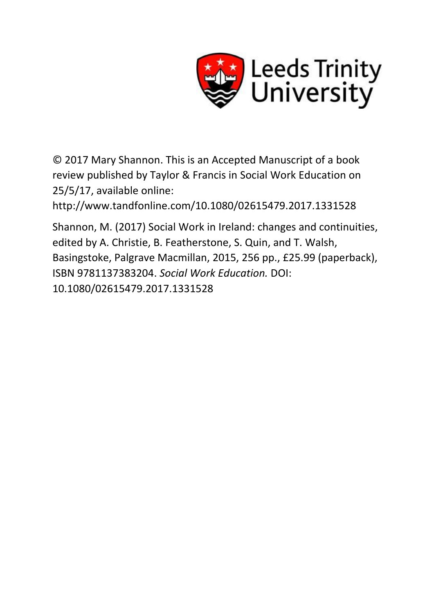

© 2017 Mary Shannon. This is an Accepted Manuscript of a book review published by Taylor & Francis in Social Work Education on 25/5/17, available online:

http://www.tandfonline.com/10.1080/02615479.2017.1331528

Shannon, M. (2017) Social Work in Ireland: changes and continuities, edited by A. Christie, B. Featherstone, S. Quin, and T. Walsh, Basingstoke, Palgrave Macmillan, 2015, 256 pp., £25.99 (paperback), ISBN 9781137383204. *Social Work Education.* DOI: 10.1080/02615479.2017.1331528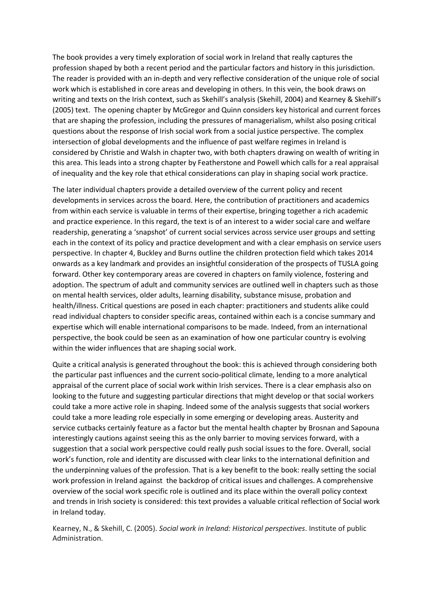The book provides a very timely exploration of social work in Ireland that really captures the profession shaped by both a recent period and the particular factors and history in this jurisdiction. The reader is provided with an in-depth and very reflective consideration of the unique role of social work which is established in core areas and developing in others. In this vein, the book draws on writing and texts on the Irish context, such as Skehill's analysis (Skehill, 2004) and Kearney & Skehill's (2005) text. The opening chapter by McGregor and Quinn considers key historical and current forces that are shaping the profession, including the pressures of managerialism, whilst also posing critical questions about the response of Irish social work from a social justice perspective. The complex intersection of global developments and the influence of past welfare regimes in Ireland is considered by Christie and Walsh in chapter two, with both chapters drawing on wealth of writing in this area. This leads into a strong chapter by Featherstone and Powell which calls for a real appraisal of inequality and the key role that ethical considerations can play in shaping social work practice.

The later individual chapters provide a detailed overview of the current policy and recent developments in services across the board. Here, the contribution of practitioners and academics from within each service is valuable in terms of their expertise, bringing together a rich academic and practice experience. In this regard, the text is of an interest to a wider social care and welfare readership, generating a 'snapshot' of current social services across service user groups and setting each in the context of its policy and practice development and with a clear emphasis on service users perspective. In chapter 4, Buckley and Burns outline the children protection field which takes 2014 onwards as a key landmark and provides an insightful consideration of the prospects of TUSLA going forward. Other key contemporary areas are covered in chapters on family violence, fostering and adoption. The spectrum of adult and community services are outlined well in chapters such as those on mental health services, older adults, learning disability, substance misuse, probation and health/illness. Critical questions are posed in each chapter: practitioners and students alike could read individual chapters to consider specific areas, contained within each is a concise summary and expertise which will enable international comparisons to be made. Indeed, from an international perspective, the book could be seen as an examination of how one particular country is evolving within the wider influences that are shaping social work.

Quite a critical analysis is generated throughout the book: this is achieved through considering both the particular past influences and the current socio-political climate, lending to a more analytical appraisal of the current place of social work within Irish services. There is a clear emphasis also on looking to the future and suggesting particular directions that might develop or that social workers could take a more active role in shaping. Indeed some of the analysis suggests that social workers could take a more leading role especially in some emerging or developing areas. Austerity and service cutbacks certainly feature as a factor but the mental health chapter by Brosnan and Sapouna interestingly cautions against seeing this as the only barrier to moving services forward, with a suggestion that a social work perspective could really push social issues to the fore. Overall, social work's function, role and identity are discussed with clear links to the international definition and the underpinning values of the profession. That is a key benefit to the book: really setting the social work profession in Ireland against the backdrop of critical issues and challenges. A comprehensive overview of the social work specific role is outlined and its place within the overall policy context and trends in Irish society is considered: this text provides a valuable critical reflection of Social work in Ireland today.

Kearney, N., & Skehill, C. (2005). *Social work in Ireland: Historical perspectives*. Institute of public Administration.